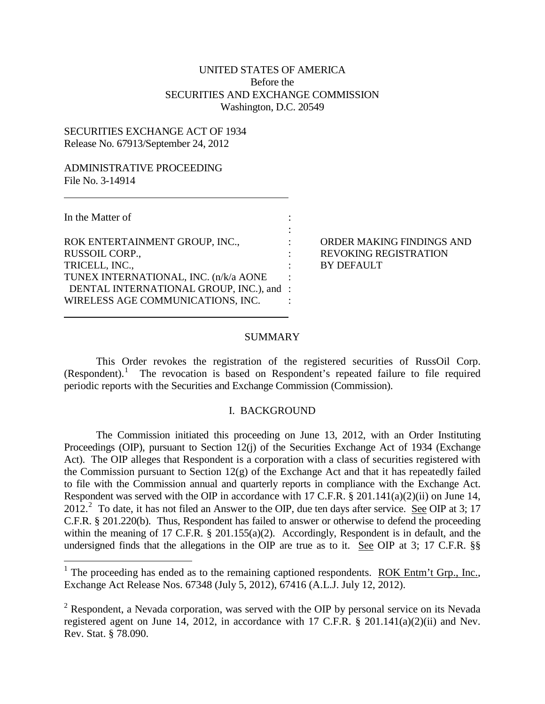# UNITED STATES OF AMERICA Before the SECURITIES AND EXCHANGE COMMISSION Washington, D.C. 20549

## SECURITIES EXCHANGE ACT OF 1934 Release No. 67913/September 24, 2012

### ADMINISTRATIVE PROCEEDING File No. 3-14914

In the Matter of :

ROK ENTERTAINMENT GROUP, INC.,  $\qquad \qquad : \qquad$  ORDER MAKING FINDINGS AND RUSSOIL CORP.,  $REVOKING REGISTRATION$ TRICELL, INC., TRICELL, INC., TUNEX INTERNATIONAL, INC. (n/k/a AONE : DENTAL INTERNATIONAL GROUP, INC.), and : WIRELESS AGE COMMUNICATIONS, INC. :

## SUMMARY

:

This Order revokes the registration of the registered securities of RussOil Corp. (Respondent). [1](#page-0-0) The revocation is based on Respondent's repeated failure to file required periodic reports with the Securities and Exchange Commission (Commission).

## I. BACKGROUND

The Commission initiated this proceeding on June 13, 2012, with an Order Instituting Proceedings (OIP), pursuant to Section 12(j) of the Securities Exchange Act of 1934 (Exchange Act). The OIP alleges that Respondent is a corporation with a class of securities registered with the Commission pursuant to Section 12(g) of the Exchange Act and that it has repeatedly failed to file with the Commission annual and quarterly reports in compliance with the Exchange Act. Respondent was served with the OIP in accordance with 17 C.F.R. § 201.141(a)(2)(ii) on June 14,  $2012<sup>2</sup>$  $2012<sup>2</sup>$  To date, it has not filed an Answer to the OIP, due ten days after service. See OIP at 3; 17 C.F.R. § 201.220(b). Thus, Respondent has failed to answer or otherwise to defend the proceeding within the meaning of 17 C.F.R. § 201.155(a)(2). Accordingly, Respondent is in default, and the undersigned finds that the allegations in the OIP are true as to it. See OIP at 3; 17 C.F.R. §§

<span id="page-0-0"></span><sup>&</sup>lt;sup>1</sup> The proceeding has ended as to the remaining captioned respondents. ROK Entm't Grp., Inc., Exchange Act Release Nos. 67348 (July 5, 2012), 67416 (A.L.J. July 12, 2012).

<span id="page-0-1"></span> $2$  Respondent, a Nevada corporation, was served with the OIP by personal service on its Nevada registered agent on June 14, 2012, in accordance with 17 C.F.R. § 201.141(a)(2)(ii) and Nev. Rev. Stat. § 78.090.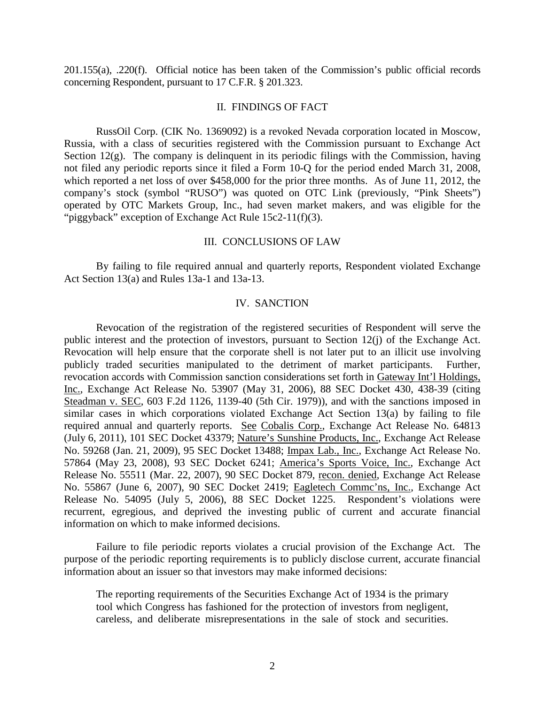201.155(a), .220(f). Official notice has been taken of the Commission's public official records concerning Respondent, pursuant to 17 C.F.R. § 201.323.

### II. FINDINGS OF FACT

RussOil Corp. (CIK No. 1369092) is a revoked Nevada corporation located in Moscow, Russia, with a class of securities registered with the Commission pursuant to Exchange Act Section 12(g). The company is delinquent in its periodic filings with the Commission, having not filed any periodic reports since it filed a Form 10-Q for the period ended March 31, 2008, which reported a net loss of over \$458,000 for the prior three months. As of June 11, 2012, the company's stock (symbol "RUSO") was quoted on OTC Link (previously, "Pink Sheets") operated by OTC Markets Group, Inc., had seven market makers, and was eligible for the "piggyback" exception of Exchange Act Rule 15c2-11(f)(3).

### III. CONCLUSIONS OF LAW

By failing to file required annual and quarterly reports, Respondent violated Exchange Act Section 13(a) and Rules 13a-1 and 13a-13.

### IV. SANCTION

Revocation of the registration of the registered securities of Respondent will serve the public interest and the protection of investors, pursuant to Section 12(j) of the Exchange Act. Revocation will help ensure that the corporate shell is not later put to an illicit use involving publicly traded securities manipulated to the detriment of market participants. Further, revocation accords with Commission sanction considerations set forth in Gateway Int'l Holdings, Inc., Exchange Act Release No. 53907 (May 31, 2006), 88 SEC Docket 430, 438-39 (citing Steadman v. SEC, 603 F.2d 1126, 1139-40 (5th Cir. 1979)), and with the sanctions imposed in similar cases in which corporations violated Exchange Act Section 13(a) by failing to file required annual and quarterly reports. See Cobalis Corp., Exchange Act Release No. 64813 (July 6, 2011), 101 SEC Docket 43379; Nature's Sunshine Products, Inc., Exchange Act Release No. 59268 (Jan. 21, 2009), 95 SEC Docket 13488; Impax Lab., Inc., Exchange Act Release No. 57864 (May 23, 2008), 93 SEC Docket 6241; America's Sports Voice, Inc., Exchange Act Release No. 55511 (Mar. 22, 2007), 90 SEC Docket 879, recon. denied, Exchange Act Release No. 55867 (June 6, 2007), 90 SEC Docket 2419; Eagletech Commc'ns, Inc., Exchange Act Release No. 54095 (July 5, 2006), 88 SEC Docket 1225. Respondent's violations were recurrent, egregious, and deprived the investing public of current and accurate financial information on which to make informed decisions.

Failure to file periodic reports violates a crucial provision of the Exchange Act. The purpose of the periodic reporting requirements is to publicly disclose current, accurate financial information about an issuer so that investors may make informed decisions:

The reporting requirements of the Securities Exchange Act of 1934 is the primary tool which Congress has fashioned for the protection of investors from negligent, careless, and deliberate misrepresentations in the sale of stock and securities.